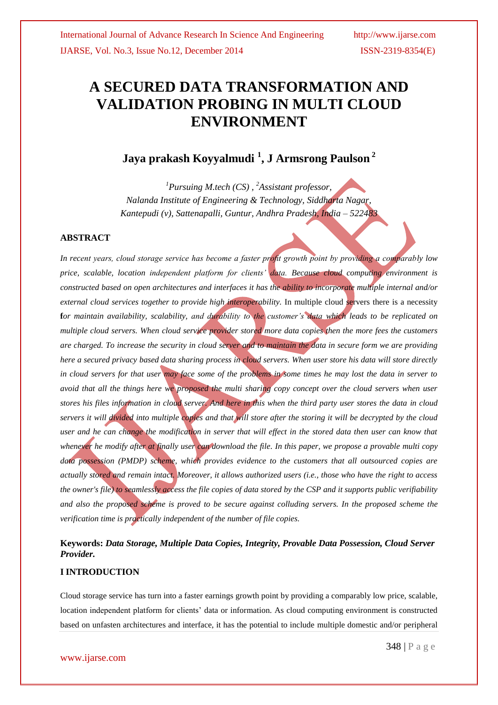# **A SECURED DATA TRANSFORMATION AND VALIDATION PROBING IN MULTI CLOUD ENVIRONMENT**

# **Jaya prakash Koyyalmudi <sup>1</sup> , J Armsrong Paulson <sup>2</sup>**

*<sup>1</sup>Pursuing M.tech (CS) , <sup>2</sup>Assistant professor, Nalanda Institute of Engineering & Technology, Siddharta Nagar, Kantepudi (v), Sattenapalli, Guntur, Andhra Pradesh, India – 522483*

### **ABSTRACT**

*In recent years, cloud storage service has become a faster profit growth point by providing a comparably low price, scalable, location independent platform for clients' data. Because cloud computing environment is constructed based on open architectures and interfaces it has the ability to incorporate multiple internal and/or external cloud services together to provide high interoperability.* In multiple cloud servers there is a necessity **f***or maintain availability, scalability, and durability to the customer's data which leads to be replicated on multiple cloud servers. When cloud service provider stored more data copies then the more fees the customers are charged. To increase the security in cloud server and to maintain the data in secure form we are providing here a secured privacy based data sharing process in cloud servers. When user store his data will store directly in cloud servers for that user may face some of the problems in some times he may lost the data in server to avoid that all the things here we proposed the multi sharing copy concept over the cloud servers when user stores his files information in cloud server. And here in this when the third party user stores the data in cloud servers it will divided into multiple copies and that will store after the storing it will be decrypted by the cloud user and he can change the modification in server that will effect in the stored data then user can know that whenever he modify after at finally user can download the file. In this paper, we propose a provable multi copy data possession (PMDP) scheme, which provides evidence to the customers that all outsourced copies are actually stored and remain intact. Moreover, it allows authorized users (i.e., those who have the right to access the owner's file) to seamlessly access the file copies of data stored by the CSP and it supports public verifiability and also the proposed scheme is proved to be secure against colluding servers. In the proposed scheme the verification time is practically independent of the number of file copies.*

### **Keywords:** *Data Storage, Multiple Data Copies, Integrity, Provable Data Possession, Cloud Server Provider.*

#### **I INTRODUCTION**

Cloud storage service has turn into a faster earnings growth point by providing a comparably low price, scalable, location independent platform for clients" data or information. As cloud computing environment is constructed based on unfasten architectures and interface, it has the potential to include multiple domestic and/or peripheral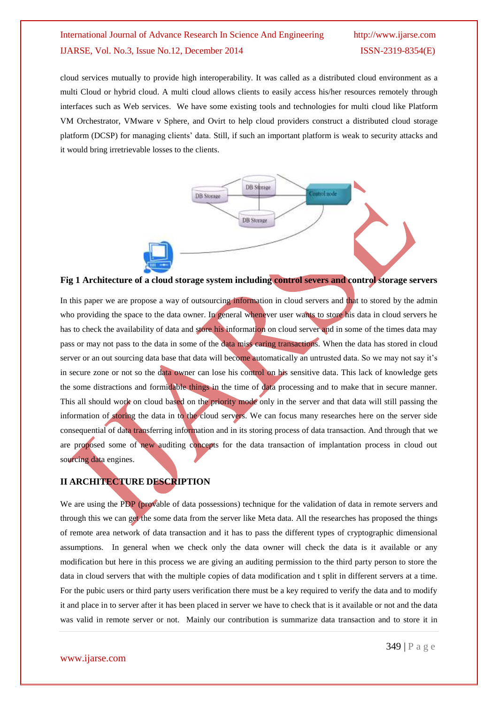cloud services mutually to provide high interoperability. It was called as a distributed cloud environment as a multi Cloud or hybrid cloud. A multi cloud allows clients to easily access his/her resources remotely through interfaces such as Web services. We have some existing tools and technologies for multi cloud like Platform VM Orchestrator, VMware v Sphere, and Ovirt to help cloud providers construct a distributed cloud storage platform (DCSP) for managing clients" data. Still, if such an important platform is weak to security attacks and it would bring irretrievable losses to the clients.



**Fig 1 Architecture of a cloud storage system including control severs and control storage servers**

In this paper we are propose a way of outsourcing information in cloud servers and that to stored by the admin who providing the space to the data owner. In general whenever user wants to store his data in cloud servers he has to check the availability of data and store his information on cloud server and in some of the times data may pass or may not pass to the data in some of the data miss caring transactions. When the data has stored in cloud server or an out sourcing data base that data will become automatically an untrusted data. So we may not say it's in secure zone or not so the data owner can lose his control on his sensitive data. This lack of knowledge gets the some distractions and formidable things in the time of data processing and to make that in secure manner. This all should work on cloud based on the priority mode only in the server and that data will still passing the information of storing the data in to the cloud servers. We can focus many researches here on the server side consequential of data transferring information and in its storing process of data transaction. And through that we are proposed some of new auditing concepts for the data transaction of implantation process in cloud out sourcing data engines.

### **II ARCHITECTURE DESCRIPTION**

We are using the PDP (provable of data possessions) technique for the validation of data in remote servers and through this we can get the some data from the server like Meta data. All the researches has proposed the things of remote area network of data transaction and it has to pass the different types of cryptographic dimensional assumptions. In general when we check only the data owner will check the data is it available or any modification but here in this process we are giving an auditing permission to the third party person to store the data in cloud servers that with the multiple copies of data modification and t split in different servers at a time. For the pubic users or third party users verification there must be a key required to verify the data and to modify it and place in to server after it has been placed in server we have to check that is it available or not and the data was valid in remote server or not. Mainly our contribution is summarize data transaction and to store it in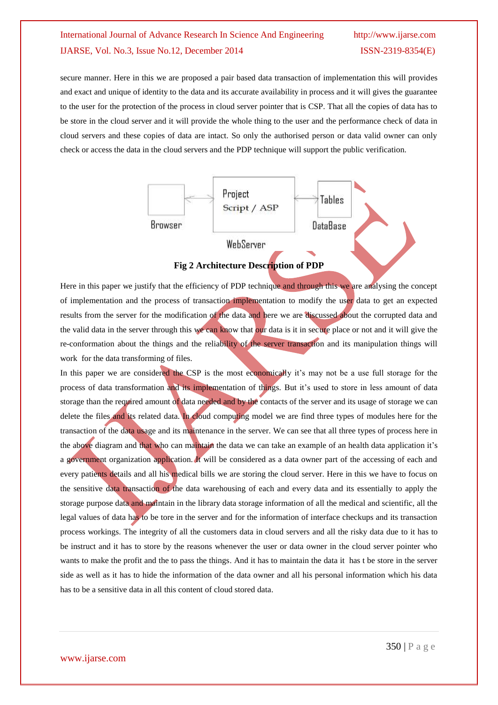secure manner. Here in this we are proposed a pair based data transaction of implementation this will provides and exact and unique of identity to the data and its accurate availability in process and it will gives the guarantee to the user for the protection of the process in cloud server pointer that is CSP. That all the copies of data has to be store in the cloud server and it will provide the whole thing to the user and the performance check of data in cloud servers and these copies of data are intact. So only the authorised person or data valid owner can only check or access the data in the cloud servers and the PDP technique will support the public verification.



**Fig 2 Architecture Description of PDP**

Here in this paper we justify that the efficiency of PDP technique and through this we are analysing the concept of implementation and the process of transaction implementation to modify the user data to get an expected results from the server for the modification of the data and here we are discussed about the corrupted data and the valid data in the server through this we can know that our data is it in secure place or not and it will give the re-conformation about the things and the reliability of the server transaction and its manipulation things will work for the data transforming of files.

In this paper we are considered the CSP is the most economically it's may not be a use full storage for the process of data transformation and its implementation of things. But it's used to store in less amount of data storage than the required amount of data needed and by the contacts of the server and its usage of storage we can delete the files and its related data. In cloud computing model we are find three types of modules here for the transaction of the data usage and its maintenance in the server. We can see that all three types of process here in the above diagram and that who can maintain the data we can take an example of an health data application it"s a government organization application. It will be considered as a data owner part of the accessing of each and every patients details and all his medical bills we are storing the cloud server. Here in this we have to focus on the sensitive data transaction of the data warehousing of each and every data and its essentially to apply the storage purpose data and maintain in the library data storage information of all the medical and scientific, all the legal values of data has to be tore in the server and for the information of interface checkups and its transaction process workings. The integrity of all the customers data in cloud servers and all the risky data due to it has to be instruct and it has to store by the reasons whenever the user or data owner in the cloud server pointer who wants to make the profit and the to pass the things. And it has to maintain the data it has t be store in the server side as well as it has to hide the information of the data owner and all his personal information which his data has to be a sensitive data in all this content of cloud stored data.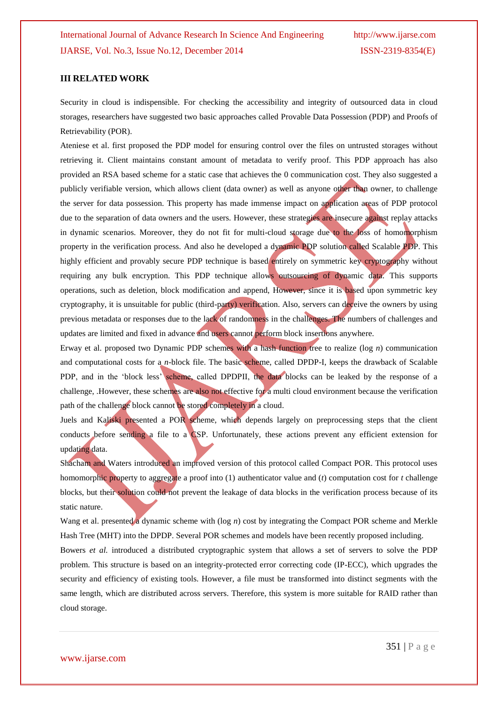#### **III RELATED WORK**

Security in cloud is indispensible. For checking the accessibility and integrity of outsourced data in cloud storages, researchers have suggested two basic approaches called Provable Data Possession (PDP) and Proofs of Retrievability (POR).

Ateniese et al. first proposed the PDP model for ensuring control over the files on untrusted storages without retrieving it. Client maintains constant amount of metadata to verify proof. This PDP approach has also provided an RSA based scheme for a static case that achieves the 0 communication cost. They also suggested a publicly verifiable version, which allows client (data owner) as well as anyone other than owner, to challenge the server for data possession. This property has made immense impact on application areas of PDP protocol due to the separation of data owners and the users. However, these strategies are insecure against replay attacks in dynamic scenarios. Moreover, they do not fit for multi-cloud storage due to the loss of homomorphism property in the verification process. And also he developed a dynamic PDP solution called Scalable PDP. This highly efficient and provably secure PDP technique is based entirely on symmetric key cryptography without requiring any bulk encryption. This PDP technique allows outsourcing of dynamic data. This supports operations, such as deletion, block modification and append, However, since it is based upon symmetric key cryptography, it is unsuitable for public (third-party) verification. Also, servers can deceive the owners by using previous metadata or responses due to the lack of randomness in the challenges. The numbers of challenges and updates are limited and fixed in advance and users cannot perform block insertions anywhere.

Erway et al. proposed two Dynamic PDP schemes with a hash function tree to realize (log *n*) communication and computational costs for a *n*-block file. The basic scheme, called DPDP-I, keeps the drawback of Scalable PDP, and in the 'block less' scheme, called DPDPII, the data blocks can be leaked by the response of a challenge, .However, these schemes are also not effective for a multi cloud environment because the verification path of the challenge block cannot be stored completely in a cloud.

Juels and Kaliski presented a POR scheme, which depends largely on preprocessing steps that the client conducts before sending a file to a CSP. Unfortunately, these actions prevent any efficient extension for updating data.

Shacham and Waters introduced an improved version of this protocol called Compact POR. This protocol uses homomorphic property to aggregate a proof into (1) authenticator value and (*t*) computation cost for *t* challenge blocks, but their solution could not prevent the leakage of data blocks in the verification process because of its static nature.

Wang et al. presented a dynamic scheme with (log *n*) cost by integrating the Compact POR scheme and Merkle Hash Tree (MHT) into the DPDP. Several POR schemes and models have been recently proposed including.

Bowers *et al.* introduced a distributed cryptographic system that allows a set of servers to solve the PDP problem. This structure is based on an integrity-protected error correcting code (IP-ECC), which upgrades the security and efficiency of existing tools. However, a file must be transformed into distinct segments with the same length, which are distributed across servers. Therefore, this system is more suitable for RAID rather than cloud storage.

www.ijarse.com

351 | P a g e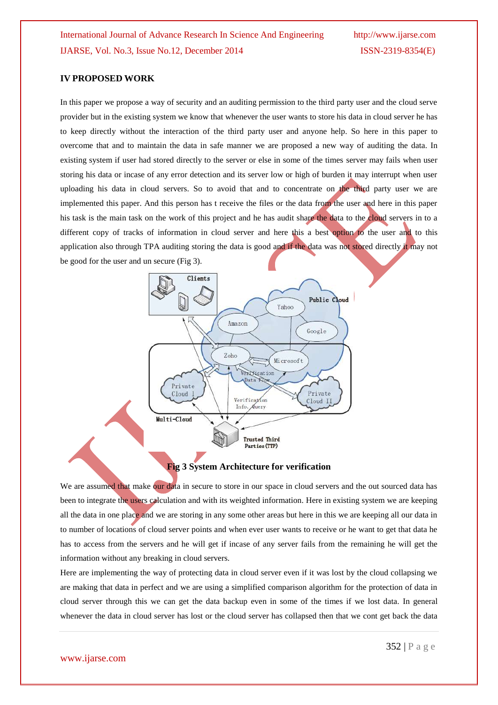#### **IV PROPOSED WORK**

In this paper we propose a way of security and an auditing permission to the third party user and the cloud serve provider but in the existing system we know that whenever the user wants to store his data in cloud server he has to keep directly without the interaction of the third party user and anyone help. So here in this paper to overcome that and to maintain the data in safe manner we are proposed a new way of auditing the data. In existing system if user had stored directly to the server or else in some of the times server may fails when user storing his data or incase of any error detection and its server low or high of burden it may interrupt when user uploading his data in cloud servers. So to avoid that and to concentrate on the third party user we are implemented this paper. And this person has t receive the files or the data from the user and here in this paper his task is the main task on the work of this project and he has audit share the data to the cloud servers in to a different copy of tracks of information in cloud server and here this a best option to the user and to this application also through TPA auditing storing the data is good and if the data was not stored directly it may not be good for the user and un secure (Fig 3).



#### **Fig 3 System Architecture for verification**

We are assumed that make our data in secure to store in our space in cloud servers and the out sourced data has been to integrate the users calculation and with its weighted information. Here in existing system we are keeping all the data in one place and we are storing in any some other areas but here in this we are keeping all our data in to number of locations of cloud server points and when ever user wants to receive or he want to get that data he has to access from the servers and he will get if incase of any server fails from the remaining he will get the information without any breaking in cloud servers.

Here are implementing the way of protecting data in cloud server even if it was lost by the cloud collapsing we are making that data in perfect and we are using a simplified comparison algorithm for the protection of data in cloud server through this we can get the data backup even in some of the times if we lost data. In general whenever the data in cloud server has lost or the cloud server has collapsed then that we cont get back the data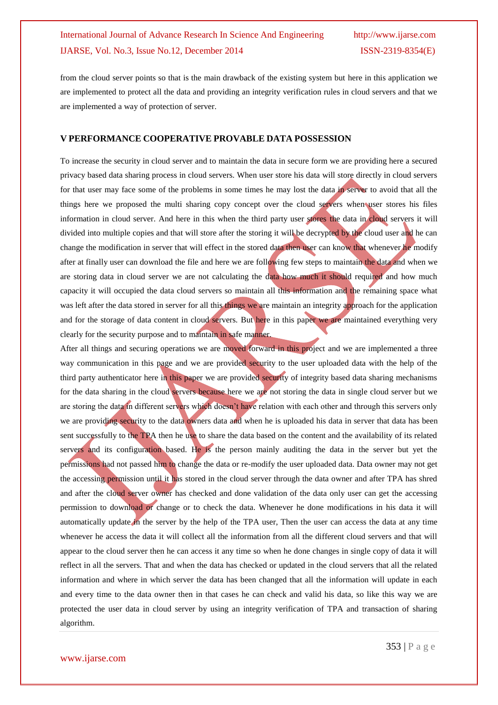from the cloud server points so that is the main drawback of the existing system but here in this application we are implemented to protect all the data and providing an integrity verification rules in cloud servers and that we are implemented a way of protection of server.

#### **V PERFORMANCE COOPERATIVE PROVABLE DATA POSSESSION**

To increase the security in cloud server and to maintain the data in secure form we are providing here a secured privacy based data sharing process in cloud servers. When user store his data will store directly in cloud servers for that user may face some of the problems in some times he may lost the data in server to avoid that all the things here we proposed the multi sharing copy concept over the cloud servers when user stores his files information in cloud server. And here in this when the third party user stores the data in cloud servers it will divided into multiple copies and that will store after the storing it will be decrypted by the cloud user and he can change the modification in server that will effect in the stored data then user can know that whenever he modify after at finally user can download the file and here we are following few steps to maintain the data and when we are storing data in cloud server we are not calculating the data how much it should required and how much capacity it will occupied the data cloud servers so maintain all this information and the remaining space what was left after the data stored in server for all this things we are maintain an integrity approach for the application and for the storage of data content in cloud servers. But here in this paper we are maintained everything very clearly for the security purpose and to maintain in safe manner.

After all things and securing operations we are moved forward in this project and we are implemented a three way communication in this page and we are provided security to the user uploaded data with the help of the third party authenticator here in this paper we are provided security of integrity based data sharing mechanisms for the data sharing in the cloud servers because here we are not storing the data in single cloud server but we are storing the data in different servers which doesn't have relation with each other and through this servers only we are providing security to the data owners data and when he is uploaded his data in server that data has been sent successfully to the TPA then he use to share the data based on the content and the availability of its related servers and its configuration based. He is the person mainly auditing the data in the server but yet the permissions had not passed him to change the data or re-modify the user uploaded data. Data owner may not get the accessing permission until it has stored in the cloud server through the data owner and after TPA has shred and after the cloud server owner has checked and done validation of the data only user can get the accessing permission to download or change or to check the data. Whenever he done modifications in his data it will automatically update in the server by the help of the TPA user, Then the user can access the data at any time whenever he access the data it will collect all the information from all the different cloud servers and that will appear to the cloud server then he can access it any time so when he done changes in single copy of data it will reflect in all the servers. That and when the data has checked or updated in the cloud servers that all the related information and where in which server the data has been changed that all the information will update in each and every time to the data owner then in that cases he can check and valid his data, so like this way we are protected the user data in cloud server by using an integrity verification of TPA and transaction of sharing algorithm.

353 | P a g e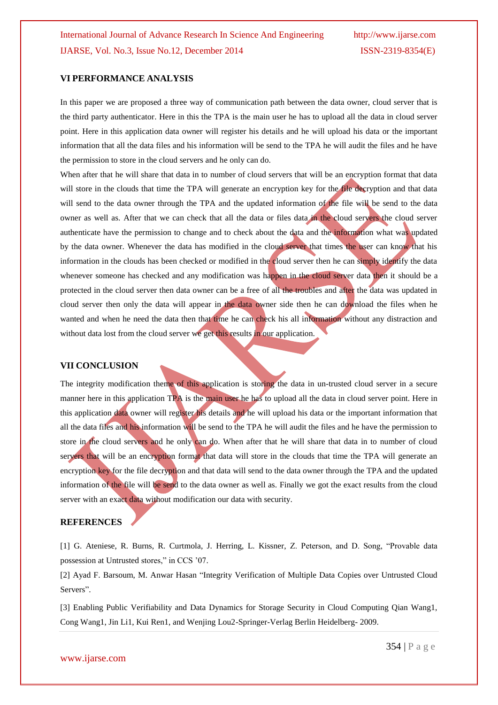#### **VI PERFORMANCE ANALYSIS**

In this paper we are proposed a three way of communication path between the data owner, cloud server that is the third party authenticator. Here in this the TPA is the main user he has to upload all the data in cloud server point. Here in this application data owner will register his details and he will upload his data or the important information that all the data files and his information will be send to the TPA he will audit the files and he have the permission to store in the cloud servers and he only can do.

When after that he will share that data in to number of cloud servers that will be an encryption format that data will store in the clouds that time the TPA will generate an encryption key for the **file decryption** and that data will send to the data owner through the TPA and the updated information of the file will be send to the data owner as well as. After that we can check that all the data or files data in the cloud servers the cloud server authenticate have the permission to change and to check about the data and the information what was updated by the data owner. Whenever the data has modified in the cloud server that times the user can know that his information in the clouds has been checked or modified in the cloud server then he can simply identify the data whenever someone has checked and any modification was happen in the cloud server data then it should be a protected in the cloud server then data owner can be a free of all the troubles and after the data was updated in cloud server then only the data will appear in the data owner side then he can download the files when he wanted and when he need the data then that time he can check his all information without any distraction and without data lost from the cloud server we get this results in our application.

#### **VII CONCLUSION**

The integrity modification theme of this application is storing the data in un-trusted cloud server in a secure manner here in this application TPA is the main user he has to upload all the data in cloud server point. Here in this application data owner will register his details and he will upload his data or the important information that all the data files and his information will be send to the TPA he will audit the files and he have the permission to store in the cloud servers and he only can do. When after that he will share that data in to number of cloud servers that will be an encryption format that data will store in the clouds that time the TPA will generate an encryption key for the file decryption and that data will send to the data owner through the TPA and the updated information of the file will be send to the data owner as well as. Finally we got the exact results from the cloud server with an exact data without modification our data with security.

#### **REFERENCES**

[1] G. Ateniese, R. Burns, R. Curtmola, J. Herring, L. Kissner, Z. Peterson, and D. Song, "Provable data possession at Untrusted stores," in CCS "07.

[2] Ayad F. Barsoum, M. Anwar Hasan "Integrity Verification of Multiple Data Copies over Untrusted Cloud Servers".

[3] Enabling Public Verifiability and Data Dynamics for Storage Security in Cloud Computing Qian Wang1, Cong Wang1, Jin Li1, Kui Ren1, and Wenjing Lou2-Springer-Verlag Berlin Heidelberg- 2009.

#### www.ijarse.com